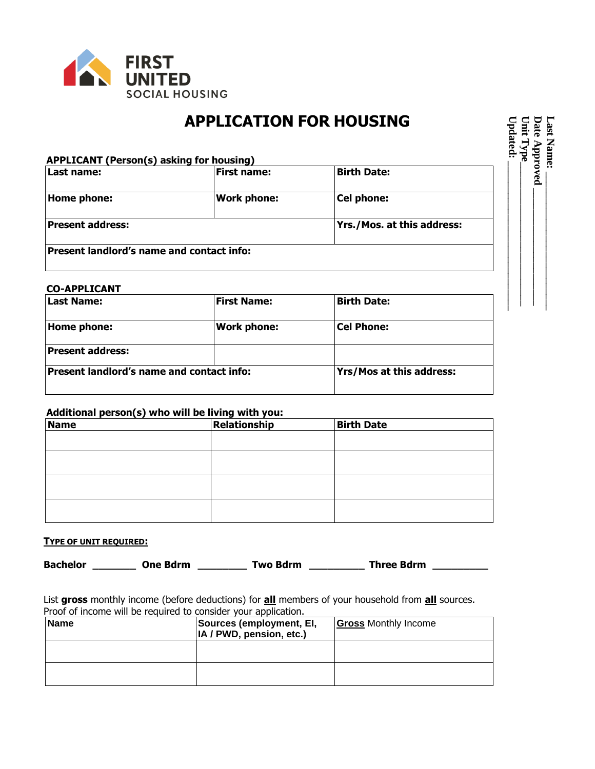

## **APPLICATION FOR HOUSING**

| Last name:       | <b>First name:</b> | <b>Birth Date:</b>         |
|------------------|--------------------|----------------------------|
| Home phone:      | <b>Work phone:</b> | Cel phone:                 |
| Present address: |                    | Yrs./Mos. at this address: |

## **CO-APPLICANT**

| Last Name:                                       | <b>First Name:</b> | <b>Birth Date:</b>              |
|--------------------------------------------------|--------------------|---------------------------------|
| Home phone:                                      | <b>Work phone:</b> | <b>Cel Phone:</b>               |
| <b>Present address:</b>                          |                    |                                 |
| <b>Present landlord's name and contact info:</b> |                    | <b>Yrs/Mos at this address:</b> |
|                                                  |                    |                                 |

## **Additional person(s) who will be living with you:**

| Name | Relationship | <b>Birth Date</b> |
|------|--------------|-------------------|
|      |              |                   |
|      |              |                   |
|      |              |                   |
|      |              |                   |
|      |              |                   |
|      |              |                   |
|      |              |                   |

## **TYPE OF UNIT REQUIRED:**

| <b>Bachelor</b> | One Bdrm | Two Bdrm | <b>Three Bdrm</b> |
|-----------------|----------|----------|-------------------|
|                 |          |          |                   |

List **gross** monthly income (before deductions) for **all** members of your household from **all** sources. Proof of income will be required to consider your application.

| Name | Sources (employment, EI,<br>IA / PWD, pension, etc.) | <b>Gross Monthly Income</b> |
|------|------------------------------------------------------|-----------------------------|
|      |                                                      |                             |
|      |                                                      |                             |

**Last Name: \_\_\_\_\_\_\_\_\_\_\_\_\_\_\_\_\_\_\_\_\_\_\_\_\_\_ Updated: \_ Unit Type\_\_\_\_\_\_\_\_\_\_\_\_\_\_\_\_\_\_\_\_\_\_\_\_\_\_\_ Date Approved \_\_\_\_\_\_\_\_\_\_\_\_\_\_\_\_\_\_\_\_\_\_ \_\_\_\_\_\_\_\_\_\_\_\_\_\_\_\_\_\_\_\_\_\_\_\_\_\_\_**